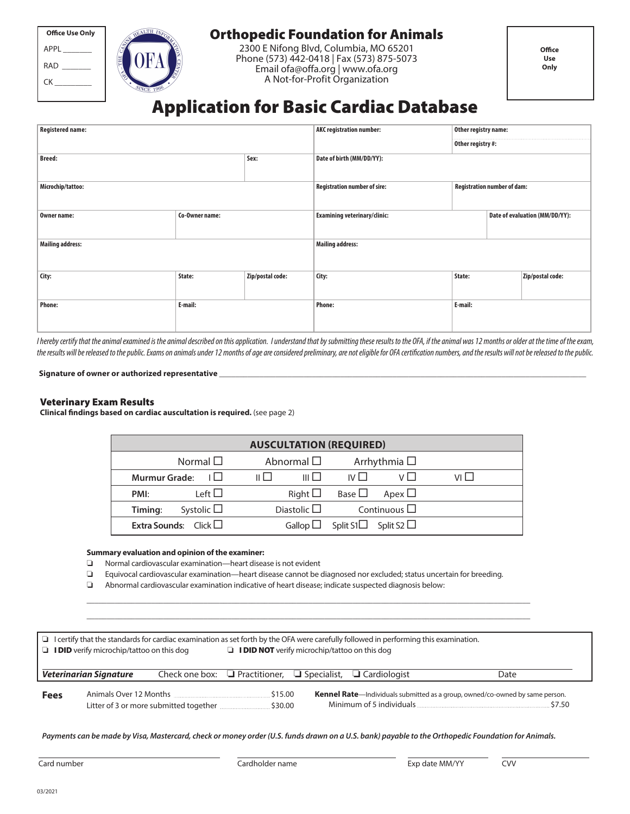| <b>Office Use Only</b> |  |  |  |  |  |
|------------------------|--|--|--|--|--|
| APPL                   |  |  |  |  |  |
| RAD                    |  |  |  |  |  |
| CK                     |  |  |  |  |  |
|                        |  |  |  |  |  |



# Orthopedic Foundation for Animals

2300 E Nifong Blvd, Columbia, MO 65201 Phone (573) 442-0418 | Fax (573) 875-5073 Email ofa@offa.org | www.ofa.org A Not-for-Profit Organization

# Application for Basic Cardiac Database

| <b>Registered name:</b> |                | <b>AKC registration number:</b> | Other registry name:                |                                    |  |                                |  |
|-------------------------|----------------|---------------------------------|-------------------------------------|------------------------------------|--|--------------------------------|--|
|                         |                |                                 |                                     | Other registry #:                  |  |                                |  |
| <b>Breed:</b><br>Sex:   |                |                                 | Date of birth (MM/DD/YY):           |                                    |  |                                |  |
| Microchip/tattoo:       |                |                                 | <b>Registration number of sire:</b> | <b>Registration number of dam:</b> |  |                                |  |
| Owner name:             | Co-Owner name: |                                 | <b>Examining veterinary/clinic:</b> |                                    |  | Date of evaluation (MM/DD/YY): |  |
| <b>Mailing address:</b> |                |                                 | <b>Mailing address:</b>             |                                    |  |                                |  |
| City:                   | State:         | Zip/postal code:                | City:                               | State:                             |  | Zip/postal code:               |  |
| <b>Phone:</b>           | E-mail:        |                                 | <b>Phone:</b>                       | E-mail:                            |  |                                |  |

I hereby certify that the animal examined is the animal described on this application. I understand that by submitting these results to the OFA, if the animal was 12 months or older at the time of the exam, the results will be released to the public. Exams on animals under 12 months of age are considered preliminary, are not eligible for OFA certification numbers, and the results will not be released to the public.

### Signature of owner or authorized representative

## Veterinary Exam Results

**Clinical findings based on cardiac auscultation is required.** (see page 2)

| <b>AUSCULTATION (REQUIRED)</b>    |                        |                                               |       |  |  |  |  |
|-----------------------------------|------------------------|-----------------------------------------------|-------|--|--|--|--|
| Normal $\square$                  | Abnormal $\Box$        |                                               |       |  |  |  |  |
| Murmur Grade: $\Box$              | $III$ $\Box$<br>11 L I | IVI <sub>1</sub>                              | VI LI |  |  |  |  |
| Left $\Box$<br>PMI:               | Right $\square$        | Base $\square$<br>Apex $\Box$                 |       |  |  |  |  |
| Systolic $\square$<br>Timing:     | Diastolic $\Box$       | Continuous $\Box$                             |       |  |  |  |  |
| <b>Extra Sounds:</b> Click $\Box$ |                        | Gallop $\Box$ Split S1 $\Box$ Split S2 $\Box$ |       |  |  |  |  |

#### **Summary evaluation and opinion of the examiner:**

❏ Normal cardiovascular examination—heart disease is not evident

❏ Equivocal cardiovascular examination—heart disease cannot be diagnosed nor excluded; status uncertain for breeding.

**\_\_\_\_\_\_\_\_\_\_\_\_\_\_\_\_\_\_\_\_\_\_\_\_\_\_\_\_\_\_\_\_\_\_\_\_\_\_\_\_\_\_\_\_\_\_\_\_\_\_\_\_\_\_\_\_\_\_\_\_\_\_\_\_\_\_\_\_\_\_\_\_\_\_\_\_\_\_\_\_\_\_\_\_\_\_\_\_\_\_\_\_\_\_\_\_\_\_\_\_\_\_\_\_\_\_\_\_\_\_ \_\_\_\_\_\_\_\_\_\_\_\_\_\_\_\_\_\_\_\_\_\_\_\_\_\_\_\_\_\_\_\_\_\_\_\_\_\_\_\_\_\_\_\_\_\_\_\_\_\_\_\_\_\_\_\_\_\_\_\_\_\_\_\_\_\_\_\_\_\_\_\_\_\_\_\_\_\_\_\_\_\_\_\_\_\_\_\_\_\_\_\_\_\_\_\_\_\_\_\_\_\_\_\_\_\_\_\_\_\_**

❏ Abnormal cardiovascular examination indicative of heart disease; indicate suspected diagnosis below:

| I certify that the standards for cardiac examination as set forth by the OFA were carefully followed in performing this examination. |                               |                                                                            |                                                             |  |  |                                                                                                |  |
|--------------------------------------------------------------------------------------------------------------------------------------|-------------------------------|----------------------------------------------------------------------------|-------------------------------------------------------------|--|--|------------------------------------------------------------------------------------------------|--|
| $\Box$ <b>IDID</b> verify microchip/tattoo on this dog                                                                               |                               |                                                                            | $\Box$ <b>I DID NOT</b> verify microchip/tattoo on this dog |  |  |                                                                                                |  |
|                                                                                                                                      |                               |                                                                            |                                                             |  |  |                                                                                                |  |
|                                                                                                                                      | <b>Veterinarian Signature</b> | Check one box: $\Box$ Practitioner, $\Box$ Specialist, $\Box$ Cardiologist |                                                             |  |  | Date                                                                                           |  |
| <b>Fees</b>                                                                                                                          |                               | Litter of 3 or more submitted together \$30.00                             | 515.00                                                      |  |  | <b>Kennel Rate</b> —Individuals submitted as a group, owned/co-owned by same person.<br>\$7.50 |  |

**Payments can be made by Visa, Mastercard, check or money order (U.S. funds drawn on a U.S. bank) payable to the Orthopedic Foundation for Animals.**